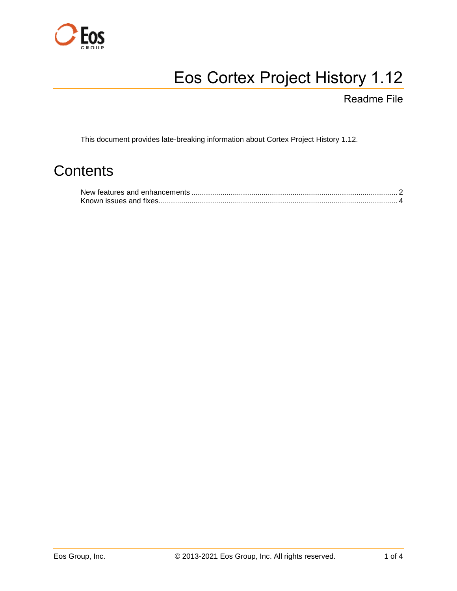

# Eos Cortex Project History 1.12

Readme File

This document provides late-breaking information about Cortex Project History 1.12.

# **Contents**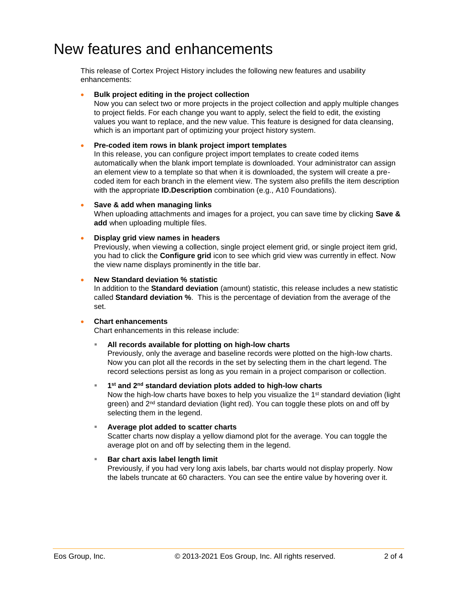# <span id="page-1-0"></span>New features and enhancements

This release of Cortex Project History includes the following new features and usability enhancements:

### **Bulk project editing in the project collection**

Now you can select two or more projects in the project collection and apply multiple changes to project fields. For each change you want to apply, select the field to edit, the existing values you want to replace, and the new value. This feature is designed for data cleansing, which is an important part of optimizing your project history system.

# **Pre-coded item rows in blank project import templates**

In this release, you can configure project import templates to create coded items automatically when the blank import template is downloaded. Your administrator can assign an element view to a template so that when it is downloaded, the system will create a precoded item for each branch in the element view. The system also prefills the item description with the appropriate **ID.Description** combination (e.g., A10 Foundations).

# **Save & add when managing links**

When uploading attachments and images for a project, you can save time by clicking **Save & add** when uploading multiple files.

# **Display grid view names in headers**

Previously, when viewing a collection, single project element grid, or single project item grid, you had to click the **Configure grid** icon to see which grid view was currently in effect. Now the view name displays prominently in the title bar.

# **New Standard deviation % statistic**

In addition to the **Standard deviation** (amount) statistic, this release includes a new statistic called **Standard deviation %**. This is the percentage of deviation from the average of the set.

#### **Chart enhancements**

Chart enhancements in this release include:

# **All records available for plotting on high-low charts**

Previously, only the average and baseline records were plotted on the high-low charts. Now you can plot all the records in the set by selecting them in the chart legend. The record selections persist as long as you remain in a project comparison or collection.

 **1 st and 2nd standard deviation plots added to high-low charts**  Now the high-low charts have boxes to help you visualize the 1<sup>st</sup> standard deviation (light green) and  $2<sup>nd</sup>$  standard deviation (light red). You can toggle these plots on and off by selecting them in the legend.

# **Average plot added to scatter charts**

Scatter charts now display a yellow diamond plot for the average. You can toggle the average plot on and off by selecting them in the legend.

# **Bar chart axis label length limit**

Previously, if you had very long axis labels, bar charts would not display properly. Now the labels truncate at 60 characters. You can see the entire value by hovering over it.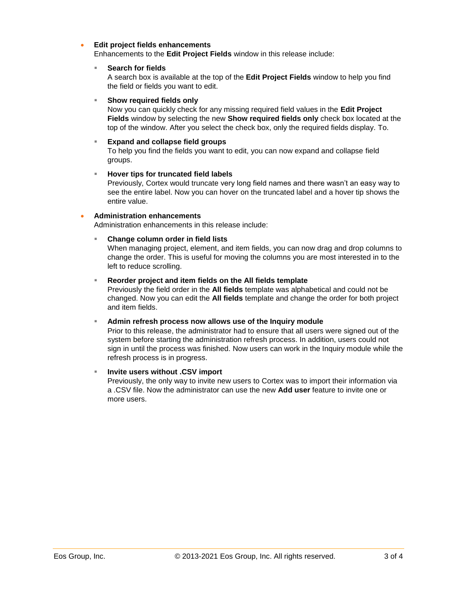# **Edit project fields enhancements**

Enhancements to the **Edit Project Fields** window in this release include:

#### **Search for fields**

A search box is available at the top of the **Edit Project Fields** window to help you find the field or fields you want to edit.

### **Show required fields only**

Now you can quickly check for any missing required field values in the **Edit Project Fields** window by selecting the new **Show required fields only** check box located at the top of the window. After you select the check box, only the required fields display. To.

# **Expand and collapse field groups**

To help you find the fields you want to edit, you can now expand and collapse field groups.

# **Hover tips for truncated field labels**

Previously, Cortex would truncate very long field names and there wasn't an easy way to see the entire label. Now you can hover on the truncated label and a hover tip shows the entire value.

# **Administration enhancements**

Administration enhancements in this release include:

# **Change column order in field lists**

When managing project, element, and item fields, you can now drag and drop columns to change the order. This is useful for moving the columns you are most interested in to the left to reduce scrolling.

# **Reorder project and item fields on the All fields template**

Previously the field order in the **All fields** template was alphabetical and could not be changed. Now you can edit the **All fields** template and change the order for both project and item fields.

#### **Admin refresh process now allows use of the Inquiry module**

Prior to this release, the administrator had to ensure that all users were signed out of the system before starting the administration refresh process. In addition, users could not sign in until the process was finished. Now users can work in the Inquiry module while the refresh process is in progress.

#### **Invite users without .CSV import**

Previously, the only way to invite new users to Cortex was to import their information via a .CSV file. Now the administrator can use the new **Add user** feature to invite one or more users.